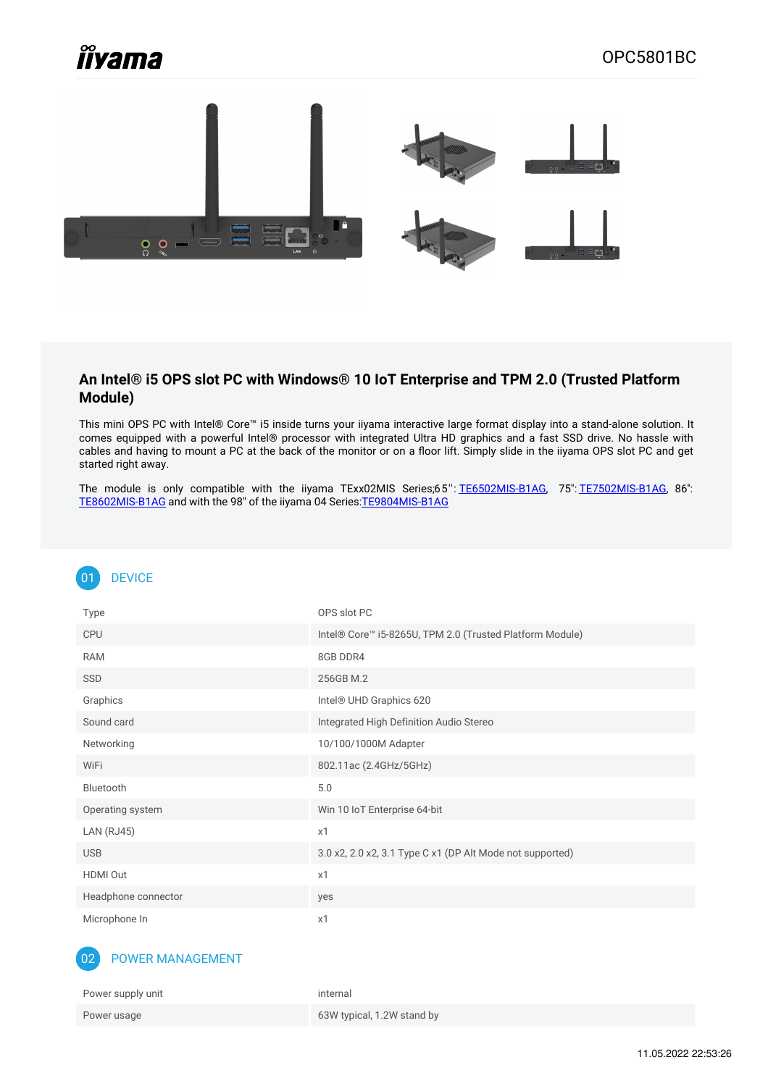# *îîvama*



#### **An Intel® i5 OPS slot PC with Windows® 10 IoT Enterprise and TPM 2.0 (Trusted Platform Module)**

This mini OPS PC with Intel® Core™ i5 inside turns your iiyama interactive large format display into a stand-alone solution. It comes equipped with a powerful Intel® processor with integrated Ultra HD graphics and a fast SSD drive. No hassle with cables and having to mount a PC at the back of the monitor or on a floor lift. Simply slide in the iiyama OPS slot PC and get started right away.

The module is only compatible with the iiyama TExx02MIS Series;65'': [TE6502MIS-B1AG](https://iiyama.com/gl_en/products/prolite-te6502mis-b1ag/), 75": [TE7502MIS-B1AG](https://iiyama.com/gl_en/products/prolite-te7502mis-b1ag/), 86'': [TE8602MIS-B1AG](https://iiyama.com/gl_en/products/prolite-te8602mis-b1ag/) and with the 98" of the iiyama 04 Series[:TE9804MIS-B1AG](https://iiyama.com/gl_en/products/prolite-te9804mis-b1ag/)

## 01 DEVICE

| Type                | OPS slot PC                                               |
|---------------------|-----------------------------------------------------------|
| <b>CPU</b>          | Intel® Core™ i5-8265U, TPM 2.0 (Trusted Platform Module)  |
| <b>RAM</b>          | 8GB DDR4                                                  |
| SSD                 | 256GB M.2                                                 |
| Graphics            | Intel® UHD Graphics 620                                   |
| Sound card          | Integrated High Definition Audio Stereo                   |
| Networking          | 10/100/1000M Adapter                                      |
| WiFi                | 802.11ac (2.4GHz/5GHz)                                    |
| Bluetooth           | 5.0                                                       |
| Operating system    | Win 10 IoT Enterprise 64-bit                              |
| <b>LAN (RJ45)</b>   | x1                                                        |
| <b>USB</b>          | 3.0 x2, 2.0 x2, 3.1 Type C x1 (DP Alt Mode not supported) |
| HDMI Out            | x1                                                        |
| Headphone connector | yes                                                       |
| Microphone In       | x1                                                        |

#### 02 POWER MANAGEMENT

| Power supply unit | internal                   |
|-------------------|----------------------------|
| Power usage       | 63W typical, 1.2W stand by |